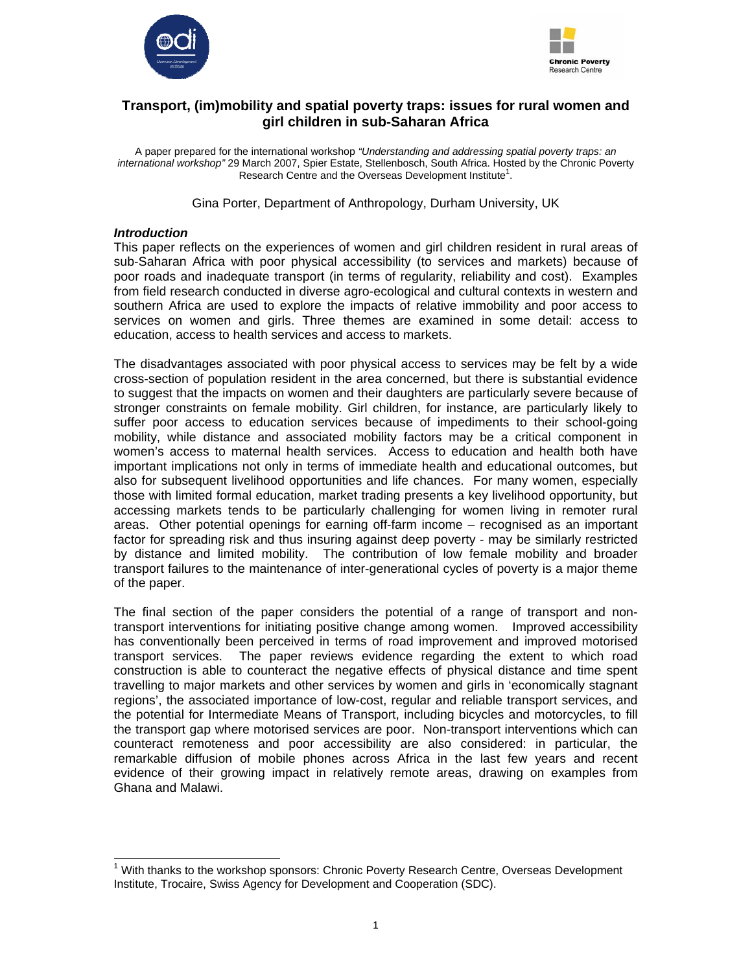



# **Transport, (im)mobility and spatial poverty traps: issues for rural women and girl children in sub-Saharan Africa**

A paper prepared for the international workshop *"Understanding and addressing spatial poverty traps: an international workshop"* 29 March 2007, Spier Estate, Stellenbosch, South Africa. Hosted by the Chronic Poverty Research Centre and the Overseas Development Institute<sup>1</sup>.

Gina Porter, Department of Anthropology, Durham University, UK

# *Introduction*

This paper reflects on the experiences of women and girl children resident in rural areas of sub-Saharan Africa with poor physical accessibility (to services and markets) because of poor roads and inadequate transport (in terms of regularity, reliability and cost). Examples from field research conducted in diverse agro-ecological and cultural contexts in western and southern Africa are used to explore the impacts of relative immobility and poor access to services on women and girls. Three themes are examined in some detail: access to education, access to health services and access to markets.

The disadvantages associated with poor physical access to services may be felt by a wide cross-section of population resident in the area concerned, but there is substantial evidence to suggest that the impacts on women and their daughters are particularly severe because of stronger constraints on female mobility. Girl children, for instance, are particularly likely to suffer poor access to education services because of impediments to their school-going mobility, while distance and associated mobility factors may be a critical component in women's access to maternal health services. Access to education and health both have important implications not only in terms of immediate health and educational outcomes, but also for subsequent livelihood opportunities and life chances. For many women, especially those with limited formal education, market trading presents a key livelihood opportunity, but accessing markets tends to be particularly challenging for women living in remoter rural areas. Other potential openings for earning off-farm income – recognised as an important factor for spreading risk and thus insuring against deep poverty - may be similarly restricted by distance and limited mobility. The contribution of low female mobility and broader transport failures to the maintenance of inter-generational cycles of poverty is a major theme of the paper.

The final section of the paper considers the potential of a range of transport and nontransport interventions for initiating positive change among women. Improved accessibility has conventionally been perceived in terms of road improvement and improved motorised transport services. The paper reviews evidence regarding the extent to which road construction is able to counteract the negative effects of physical distance and time spent travelling to major markets and other services by women and girls in 'economically stagnant regions', the associated importance of low-cost, regular and reliable transport services, and the potential for Intermediate Means of Transport, including bicycles and motorcycles, to fill the transport gap where motorised services are poor. Non-transport interventions which can counteract remoteness and poor accessibility are also considered: in particular, the remarkable diffusion of mobile phones across Africa in the last few years and recent evidence of their growing impact in relatively remote areas, drawing on examples from Ghana and Malawi.

 $\overline{a}$ <sup>1</sup> With thanks to the workshop sponsors: Chronic Poverty Research Centre, Overseas Development Institute, Trocaire, Swiss Agency for Development and Cooperation (SDC).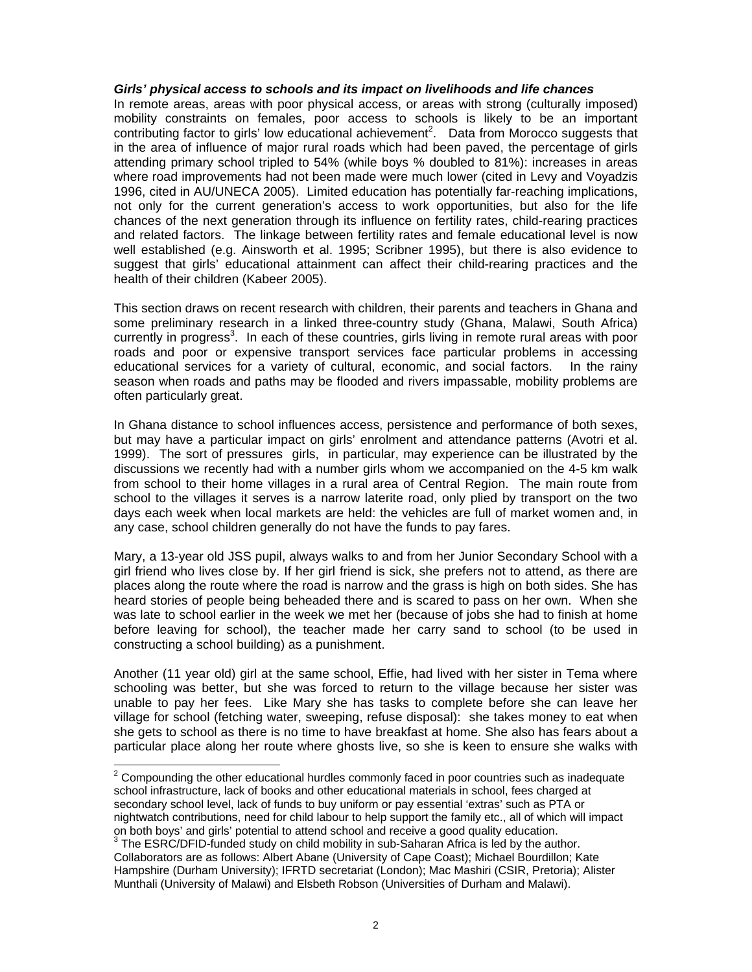# *Girls' physical access to schools and its impact on livelihoods and life chances*

In remote areas, areas with poor physical access, or areas with strong (culturally imposed) mobility constraints on females, poor access to schools is likely to be an important contributing factor to girls' low educational achievement<sup>2</sup>. Data from Morocco suggests that in the area of influence of major rural roads which had been paved, the percentage of girls attending primary school tripled to 54% (while boys % doubled to 81%): increases in areas where road improvements had not been made were much lower (cited in Levy and Voyadzis 1996, cited in AU/UNECA 2005). Limited education has potentially far-reaching implications, not only for the current generation's access to work opportunities, but also for the life chances of the next generation through its influence on fertility rates, child-rearing practices and related factors. The linkage between fertility rates and female educational level is now well established (e.g. Ainsworth et al. 1995; Scribner 1995), but there is also evidence to suggest that girls' educational attainment can affect their child-rearing practices and the health of their children (Kabeer 2005).

This section draws on recent research with children, their parents and teachers in Ghana and some preliminary research in a linked three-country study (Ghana, Malawi, South Africa) currently in progress<sup>3</sup>. In each of these countries, girls living in remote rural areas with poor roads and poor or expensive transport services face particular problems in accessing educational services for a variety of cultural, economic, and social factors. In the rainy season when roads and paths may be flooded and rivers impassable, mobility problems are often particularly great.

In Ghana distance to school influences access, persistence and performance of both sexes, but may have a particular impact on girls' enrolment and attendance patterns (Avotri et al. 1999). The sort of pressures girls, in particular, may experience can be illustrated by the discussions we recently had with a number girls whom we accompanied on the 4-5 km walk from school to their home villages in a rural area of Central Region. The main route from school to the villages it serves is a narrow laterite road, only plied by transport on the two days each week when local markets are held: the vehicles are full of market women and, in any case, school children generally do not have the funds to pay fares.

Mary, a 13-year old JSS pupil, always walks to and from her Junior Secondary School with a girl friend who lives close by. If her girl friend is sick, she prefers not to attend, as there are places along the route where the road is narrow and the grass is high on both sides. She has heard stories of people being beheaded there and is scared to pass on her own. When she was late to school earlier in the week we met her (because of jobs she had to finish at home before leaving for school), the teacher made her carry sand to school (to be used in constructing a school building) as a punishment.

Another (11 year old) girl at the same school, Effie, had lived with her sister in Tema where schooling was better, but she was forced to return to the village because her sister was unable to pay her fees. Like Mary she has tasks to complete before she can leave her village for school (fetching water, sweeping, refuse disposal): she takes money to eat when she gets to school as there is no time to have breakfast at home. She also has fears about a particular place along her route where ghosts live, so she is keen to ensure she walks with

<sup>&</sup>lt;u>2</u><br><sup>2</sup> Compounding the other educational hurdles commonly faced in poor countries such as inadequate school infrastructure, lack of books and other educational materials in school, fees charged at secondary school level, lack of funds to buy uniform or pay essential 'extras' such as PTA or nightwatch contributions, need for child labour to help support the family etc., all of which will impact on both boys' and girls' potential to attend school and receive a good quality education.<br><sup>3</sup> The ESRC/DFID-funded study on child mobility in sub-Saharan Africa is led by the author.

Collaborators are as follows: Albert Abane (University of Cape Coast); Michael Bourdillon; Kate Hampshire (Durham University); IFRTD secretariat (London); Mac Mashiri (CSIR, Pretoria); Alister Munthali (University of Malawi) and Elsbeth Robson (Universities of Durham and Malawi).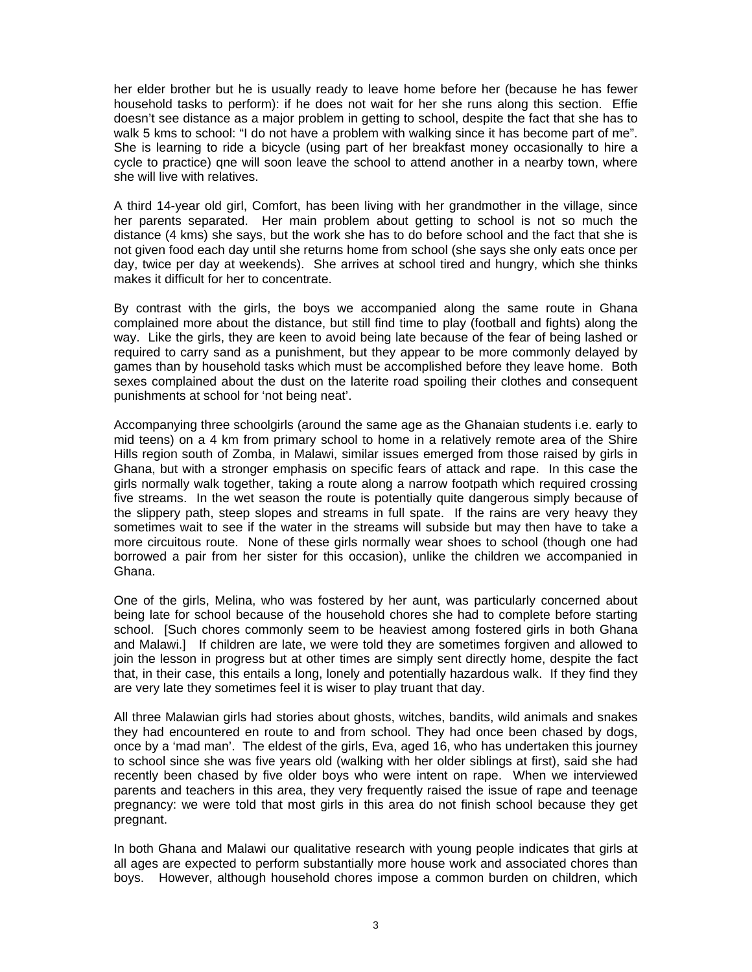her elder brother but he is usually ready to leave home before her (because he has fewer household tasks to perform): if he does not wait for her she runs along this section. Effie doesn't see distance as a major problem in getting to school, despite the fact that she has to walk 5 kms to school: "I do not have a problem with walking since it has become part of me". She is learning to ride a bicycle (using part of her breakfast money occasionally to hire a cycle to practice) qne will soon leave the school to attend another in a nearby town, where she will live with relatives.

A third 14-year old girl, Comfort, has been living with her grandmother in the village, since her parents separated. Her main problem about getting to school is not so much the distance (4 kms) she says, but the work she has to do before school and the fact that she is not given food each day until she returns home from school (she says she only eats once per day, twice per day at weekends). She arrives at school tired and hungry, which she thinks makes it difficult for her to concentrate.

By contrast with the girls, the boys we accompanied along the same route in Ghana complained more about the distance, but still find time to play (football and fights) along the way. Like the girls, they are keen to avoid being late because of the fear of being lashed or required to carry sand as a punishment, but they appear to be more commonly delayed by games than by household tasks which must be accomplished before they leave home. Both sexes complained about the dust on the laterite road spoiling their clothes and consequent punishments at school for 'not being neat'.

Accompanying three schoolgirls (around the same age as the Ghanaian students i.e. early to mid teens) on a 4 km from primary school to home in a relatively remote area of the Shire Hills region south of Zomba, in Malawi, similar issues emerged from those raised by girls in Ghana, but with a stronger emphasis on specific fears of attack and rape. In this case the girls normally walk together, taking a route along a narrow footpath which required crossing five streams. In the wet season the route is potentially quite dangerous simply because of the slippery path, steep slopes and streams in full spate. If the rains are very heavy they sometimes wait to see if the water in the streams will subside but may then have to take a more circuitous route. None of these girls normally wear shoes to school (though one had borrowed a pair from her sister for this occasion), unlike the children we accompanied in Ghana.

One of the girls, Melina, who was fostered by her aunt, was particularly concerned about being late for school because of the household chores she had to complete before starting school. [Such chores commonly seem to be heaviest among fostered girls in both Ghana and Malawi.] If children are late, we were told they are sometimes forgiven and allowed to join the lesson in progress but at other times are simply sent directly home, despite the fact that, in their case, this entails a long, lonely and potentially hazardous walk. If they find they are very late they sometimes feel it is wiser to play truant that day.

All three Malawian girls had stories about ghosts, witches, bandits, wild animals and snakes they had encountered en route to and from school. They had once been chased by dogs, once by a 'mad man'. The eldest of the girls, Eva, aged 16, who has undertaken this journey to school since she was five years old (walking with her older siblings at first), said she had recently been chased by five older boys who were intent on rape. When we interviewed parents and teachers in this area, they very frequently raised the issue of rape and teenage pregnancy: we were told that most girls in this area do not finish school because they get pregnant.

In both Ghana and Malawi our qualitative research with young people indicates that girls at all ages are expected to perform substantially more house work and associated chores than boys. However, although household chores impose a common burden on children, which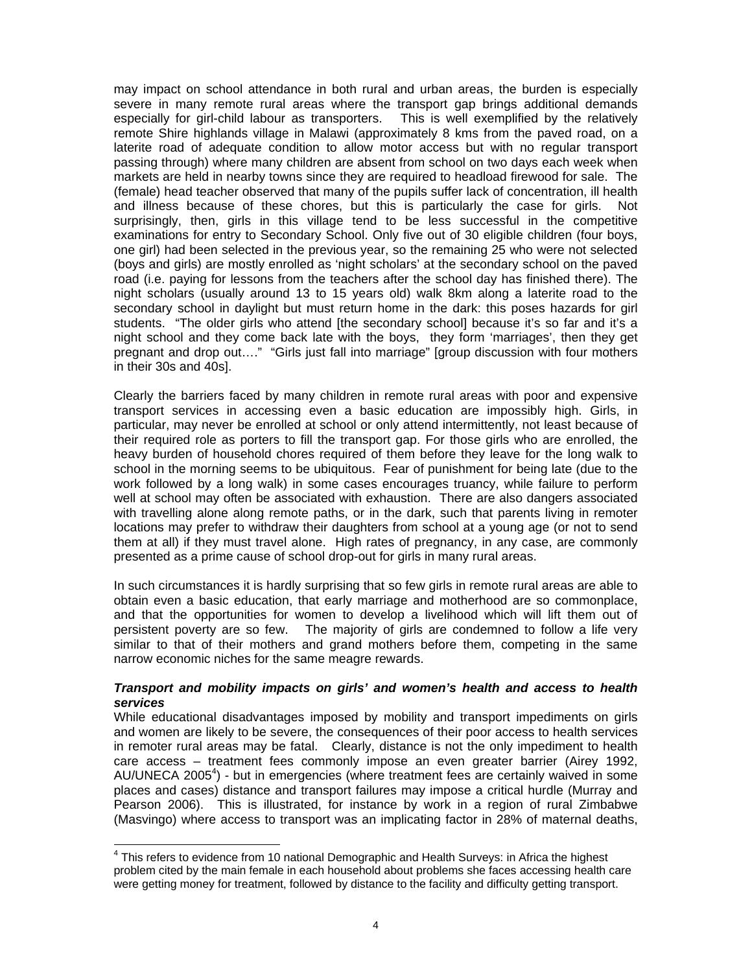may impact on school attendance in both rural and urban areas, the burden is especially severe in many remote rural areas where the transport gap brings additional demands especially for girl-child labour as transporters. This is well exemplified by the relatively remote Shire highlands village in Malawi (approximately 8 kms from the paved road, on a laterite road of adequate condition to allow motor access but with no regular transport passing through) where many children are absent from school on two days each week when markets are held in nearby towns since they are required to headload firewood for sale. The (female) head teacher observed that many of the pupils suffer lack of concentration, ill health and illness because of these chores, but this is particularly the case for girls. Not surprisingly, then, girls in this village tend to be less successful in the competitive examinations for entry to Secondary School. Only five out of 30 eligible children (four boys, one girl) had been selected in the previous year, so the remaining 25 who were not selected (boys and girls) are mostly enrolled as 'night scholars' at the secondary school on the paved road (i.e. paying for lessons from the teachers after the school day has finished there). The night scholars (usually around 13 to 15 years old) walk 8km along a laterite road to the secondary school in daylight but must return home in the dark: this poses hazards for girl students. "The older girls who attend [the secondary school] because it's so far and it's a night school and they come back late with the boys, they form 'marriages', then they get pregnant and drop out…." "Girls just fall into marriage" [group discussion with four mothers in their 30s and 40s].

Clearly the barriers faced by many children in remote rural areas with poor and expensive transport services in accessing even a basic education are impossibly high. Girls, in particular, may never be enrolled at school or only attend intermittently, not least because of their required role as porters to fill the transport gap. For those girls who are enrolled, the heavy burden of household chores required of them before they leave for the long walk to school in the morning seems to be ubiquitous. Fear of punishment for being late (due to the work followed by a long walk) in some cases encourages truancy, while failure to perform well at school may often be associated with exhaustion. There are also dangers associated with travelling alone along remote paths, or in the dark, such that parents living in remoter locations may prefer to withdraw their daughters from school at a young age (or not to send them at all) if they must travel alone. High rates of pregnancy, in any case, are commonly presented as a prime cause of school drop-out for girls in many rural areas.

In such circumstances it is hardly surprising that so few girls in remote rural areas are able to obtain even a basic education, that early marriage and motherhood are so commonplace, and that the opportunities for women to develop a livelihood which will lift them out of persistent poverty are so few. The majority of girls are condemned to follow a life very similar to that of their mothers and grand mothers before them, competing in the same narrow economic niches for the same meagre rewards.

# *Transport and mobility impacts on girls' and women's health and access to health services*

While educational disadvantages imposed by mobility and transport impediments on girls and women are likely to be severe, the consequences of their poor access to health services in remoter rural areas may be fatal. Clearly, distance is not the only impediment to health care access – treatment fees commonly impose an even greater barrier (Airey 1992, AU/UNECA 2005<sup>4</sup>) - but in emergencies (where treatment fees are certainly waived in some places and cases) distance and transport failures may impose a critical hurdle (Murray and Pearson 2006). This is illustrated, for instance by work in a region of rural Zimbabwe (Masvingo) where access to transport was an implicating factor in 28% of maternal deaths,

 4 This refers to evidence from 10 national Demographic and Health Surveys: in Africa the highest problem cited by the main female in each household about problems she faces accessing health care were getting money for treatment, followed by distance to the facility and difficulty getting transport.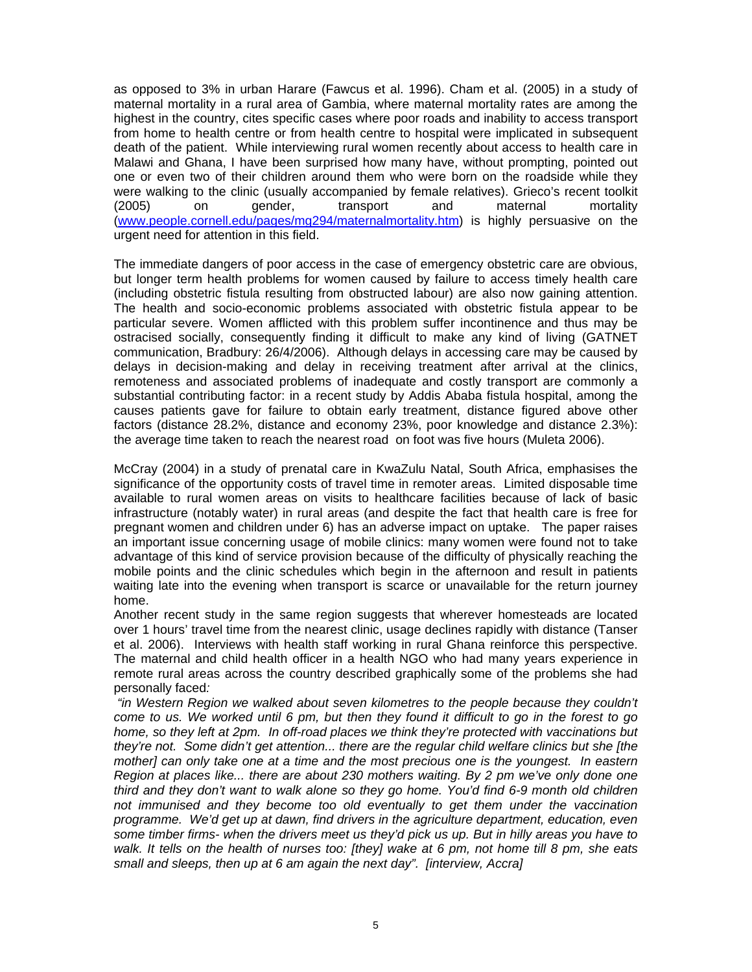as opposed to 3% in urban Harare (Fawcus et al. 1996). Cham et al. (2005) in a study of maternal mortality in a rural area of Gambia, where maternal mortality rates are among the highest in the country, cites specific cases where poor roads and inability to access transport from home to health centre or from health centre to hospital were implicated in subsequent death of the patient. While interviewing rural women recently about access to health care in Malawi and Ghana, I have been surprised how many have, without prompting, pointed out one or even two of their children around them who were born on the roadside while they were walking to the clinic (usually accompanied by female relatives). Grieco's recent toolkit (2005) on gender, transport and maternal mortality (www.people.cornell.edu/pages/mg294/maternalmortality.htm) is highly persuasive on the urgent need for attention in this field.

The immediate dangers of poor access in the case of emergency obstetric care are obvious, but longer term health problems for women caused by failure to access timely health care (including obstetric fistula resulting from obstructed labour) are also now gaining attention. The health and socio-economic problems associated with obstetric fistula appear to be particular severe. Women afflicted with this problem suffer incontinence and thus may be ostracised socially, consequently finding it difficult to make any kind of living (GATNET communication, Bradbury: 26/4/2006). Although delays in accessing care may be caused by delays in decision-making and delay in receiving treatment after arrival at the clinics, remoteness and associated problems of inadequate and costly transport are commonly a substantial contributing factor: in a recent study by Addis Ababa fistula hospital, among the causes patients gave for failure to obtain early treatment, distance figured above other factors (distance 28.2%, distance and economy 23%, poor knowledge and distance 2.3%): the average time taken to reach the nearest road on foot was five hours (Muleta 2006).

McCray (2004) in a study of prenatal care in KwaZulu Natal, South Africa, emphasises the significance of the opportunity costs of travel time in remoter areas. Limited disposable time available to rural women areas on visits to healthcare facilities because of lack of basic infrastructure (notably water) in rural areas (and despite the fact that health care is free for pregnant women and children under 6) has an adverse impact on uptake. The paper raises an important issue concerning usage of mobile clinics: many women were found not to take advantage of this kind of service provision because of the difficulty of physically reaching the mobile points and the clinic schedules which begin in the afternoon and result in patients waiting late into the evening when transport is scarce or unavailable for the return journey home.

Another recent study in the same region suggests that wherever homesteads are located over 1 hours' travel time from the nearest clinic, usage declines rapidly with distance (Tanser et al. 2006). Interviews with health staff working in rural Ghana reinforce this perspective. The maternal and child health officer in a health NGO who had many years experience in remote rural areas across the country described graphically some of the problems she had personally faced*:* 

 *"in Western Region we walked about seven kilometres to the people because they couldn't come to us. We worked until 6 pm, but then they found it difficult to go in the forest to go home, so they left at 2pm. In off-road places we think they're protected with vaccinations but they're not. Some didn't get attention... there are the regular child welfare clinics but she [the mother] can only take one at a time and the most precious one is the youngest. In eastern Region at places like... there are about 230 mothers waiting. By 2 pm we've only done one third and they don't want to walk alone so they go home. You'd find 6-9 month old children not immunised and they become too old eventually to get them under the vaccination programme. We'd get up at dawn, find drivers in the agriculture department, education, even some timber firms- when the drivers meet us they'd pick us up. But in hilly areas you have to walk. It tells on the health of nurses too: [they] wake at 6 pm, not home till 8 pm, she eats small and sleeps, then up at 6 am again the next day". [interview, Accra]*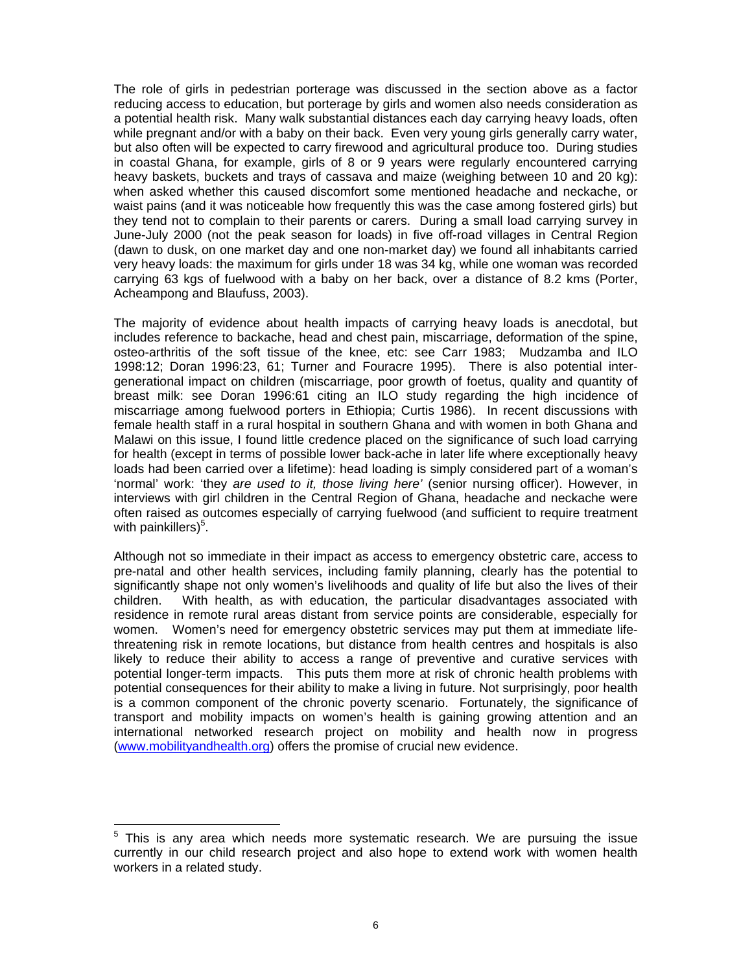The role of girls in pedestrian porterage was discussed in the section above as a factor reducing access to education, but porterage by girls and women also needs consideration as a potential health risk. Many walk substantial distances each day carrying heavy loads, often while pregnant and/or with a baby on their back. Even very young girls generally carry water, but also often will be expected to carry firewood and agricultural produce too. During studies in coastal Ghana, for example, girls of 8 or 9 years were regularly encountered carrying heavy baskets, buckets and trays of cassava and maize (weighing between 10 and 20 kg): when asked whether this caused discomfort some mentioned headache and neckache, or waist pains (and it was noticeable how frequently this was the case among fostered girls) but they tend not to complain to their parents or carers. During a small load carrying survey in June-July 2000 (not the peak season for loads) in five off-road villages in Central Region (dawn to dusk, on one market day and one non-market day) we found all inhabitants carried very heavy loads: the maximum for girls under 18 was 34 kg, while one woman was recorded carrying 63 kgs of fuelwood with a baby on her back, over a distance of 8.2 kms (Porter, Acheampong and Blaufuss, 2003).

The majority of evidence about health impacts of carrying heavy loads is anecdotal, but includes reference to backache, head and chest pain, miscarriage, deformation of the spine, osteo-arthritis of the soft tissue of the knee, etc: see Carr 1983; Mudzamba and ILO 1998:12; Doran 1996:23, 61; Turner and Fouracre 1995). There is also potential intergenerational impact on children (miscarriage, poor growth of foetus, quality and quantity of breast milk: see Doran 1996:61 citing an ILO study regarding the high incidence of miscarriage among fuelwood porters in Ethiopia; Curtis 1986). In recent discussions with female health staff in a rural hospital in southern Ghana and with women in both Ghana and Malawi on this issue, I found little credence placed on the significance of such load carrying for health (except in terms of possible lower back-ache in later life where exceptionally heavy loads had been carried over a lifetime): head loading is simply considered part of a woman's 'normal' work: 'they *are used to it, those living here'* (senior nursing officer). However, in interviews with girl children in the Central Region of Ghana, headache and neckache were often raised as outcomes especially of carrying fuelwood (and sufficient to require treatment with painkillers)<sup>5</sup>.

Although not so immediate in their impact as access to emergency obstetric care, access to pre-natal and other health services, including family planning, clearly has the potential to significantly shape not only women's livelihoods and quality of life but also the lives of their children. With health, as with education, the particular disadvantages associated with residence in remote rural areas distant from service points are considerable, especially for women. Women's need for emergency obstetric services may put them at immediate lifethreatening risk in remote locations, but distance from health centres and hospitals is also likely to reduce their ability to access a range of preventive and curative services with potential longer-term impacts. This puts them more at risk of chronic health problems with potential consequences for their ability to make a living in future. Not surprisingly, poor health is a common component of the chronic poverty scenario. Fortunately, the significance of transport and mobility impacts on women's health is gaining growing attention and an international networked research project on mobility and health now in progress (www.mobilityandhealth.org) offers the promise of crucial new evidence.

l

<sup>&</sup>lt;sup>5</sup> This is any area which needs more systematic research. We are pursuing the issue currently in our child research project and also hope to extend work with women health workers in a related study.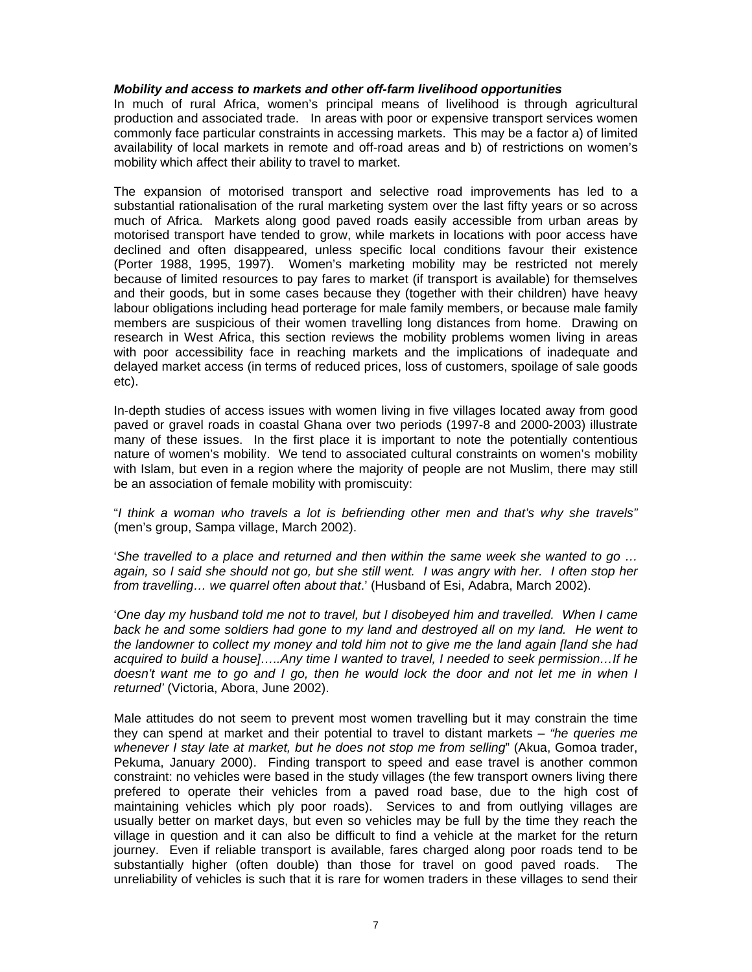# *Mobility and access to markets and other off-farm livelihood opportunities*

In much of rural Africa, women's principal means of livelihood is through agricultural production and associated trade. In areas with poor or expensive transport services women commonly face particular constraints in accessing markets. This may be a factor a) of limited availability of local markets in remote and off-road areas and b) of restrictions on women's mobility which affect their ability to travel to market.

The expansion of motorised transport and selective road improvements has led to a substantial rationalisation of the rural marketing system over the last fifty years or so across much of Africa. Markets along good paved roads easily accessible from urban areas by motorised transport have tended to grow, while markets in locations with poor access have declined and often disappeared, unless specific local conditions favour their existence (Porter 1988, 1995, 1997). Women's marketing mobility may be restricted not merely because of limited resources to pay fares to market (if transport is available) for themselves and their goods, but in some cases because they (together with their children) have heavy labour obligations including head porterage for male family members, or because male family members are suspicious of their women travelling long distances from home. Drawing on research in West Africa, this section reviews the mobility problems women living in areas with poor accessibility face in reaching markets and the implications of inadequate and delayed market access (in terms of reduced prices, loss of customers, spoilage of sale goods etc).

In-depth studies of access issues with women living in five villages located away from good paved or gravel roads in coastal Ghana over two periods (1997-8 and 2000-2003) illustrate many of these issues. In the first place it is important to note the potentially contentious nature of women's mobility. We tend to associated cultural constraints on women's mobility with Islam, but even in a region where the majority of people are not Muslim, there may still be an association of female mobility with promiscuity:

"*I think a woman who travels a lot is befriending other men and that's why she travels"* (men's group, Sampa village, March 2002).

'*She travelled to a place and returned and then within the same week she wanted to go … again, so I said she should not go, but she still went. I was angry with her. I often stop her from travelling… we quarrel often about that*.' (Husband of Esi, Adabra, March 2002).

'*One day my husband told me not to travel, but I disobeyed him and travelled. When I came back he and some soldiers had gone to my land and destroyed all on my land. He went to the landowner to collect my money and told him not to give me the land again [land she had acquired to build a house]…..Any time I wanted to travel, I needed to seek permission…If he doesn't want me to go and I go, then he would lock the door and not let me in when I returned'* (Victoria, Abora, June 2002).

Male attitudes do not seem to prevent most women travelling but it may constrain the time they can spend at market and their potential to travel to distant markets – *"he queries me whenever I stay late at market, but he does not stop me from selling*" (Akua, Gomoa trader, Pekuma, January 2000). Finding transport to speed and ease travel is another common constraint: no vehicles were based in the study villages (the few transport owners living there prefered to operate their vehicles from a paved road base, due to the high cost of maintaining vehicles which ply poor roads). Services to and from outlying villages are usually better on market days, but even so vehicles may be full by the time they reach the village in question and it can also be difficult to find a vehicle at the market for the return journey. Even if reliable transport is available, fares charged along poor roads tend to be substantially higher (often double) than those for travel on good paved roads. The unreliability of vehicles is such that it is rare for women traders in these villages to send their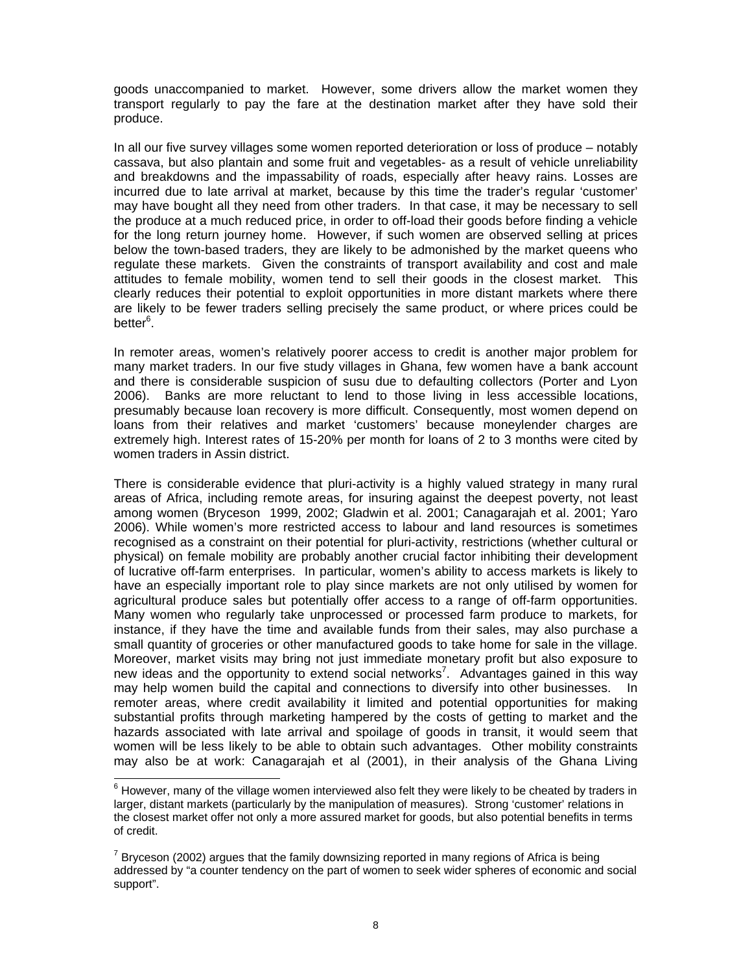goods unaccompanied to market. However, some drivers allow the market women they transport regularly to pay the fare at the destination market after they have sold their produce.

In all our five survey villages some women reported deterioration or loss of produce – notably cassava, but also plantain and some fruit and vegetables- as a result of vehicle unreliability and breakdowns and the impassability of roads, especially after heavy rains. Losses are incurred due to late arrival at market, because by this time the trader's regular 'customer' may have bought all they need from other traders. In that case, it may be necessary to sell the produce at a much reduced price, in order to off-load their goods before finding a vehicle for the long return journey home. However, if such women are observed selling at prices below the town-based traders, they are likely to be admonished by the market queens who regulate these markets. Given the constraints of transport availability and cost and male attitudes to female mobility, women tend to sell their goods in the closest market. This clearly reduces their potential to exploit opportunities in more distant markets where there are likely to be fewer traders selling precisely the same product, or where prices could be better<sup>6</sup>.

In remoter areas, women's relatively poorer access to credit is another major problem for many market traders. In our five study villages in Ghana, few women have a bank account and there is considerable suspicion of susu due to defaulting collectors (Porter and Lyon 2006). Banks are more reluctant to lend to those living in less accessible locations, presumably because loan recovery is more difficult. Consequently, most women depend on loans from their relatives and market 'customers' because moneylender charges are extremely high. Interest rates of 15-20% per month for loans of 2 to 3 months were cited by women traders in Assin district.

There is considerable evidence that pluri-activity is a highly valued strategy in many rural areas of Africa, including remote areas, for insuring against the deepest poverty, not least among women (Bryceson 1999, 2002; Gladwin et al. 2001; Canagarajah et al. 2001; Yaro 2006). While women's more restricted access to labour and land resources is sometimes recognised as a constraint on their potential for pluri-activity, restrictions (whether cultural or physical) on female mobility are probably another crucial factor inhibiting their development of lucrative off-farm enterprises. In particular, women's ability to access markets is likely to have an especially important role to play since markets are not only utilised by women for agricultural produce sales but potentially offer access to a range of off-farm opportunities. Many women who regularly take unprocessed or processed farm produce to markets, for instance, if they have the time and available funds from their sales, may also purchase a small quantity of groceries or other manufactured goods to take home for sale in the village. Moreover, market visits may bring not just immediate monetary profit but also exposure to new ideas and the opportunity to extend social networks<sup>7</sup>. Advantages gained in this way may help women build the capital and connections to diversify into other businesses. In remoter areas, where credit availability it limited and potential opportunities for making substantial profits through marketing hampered by the costs of getting to market and the hazards associated with late arrival and spoilage of goods in transit, it would seem that women will be less likely to be able to obtain such advantages. Other mobility constraints may also be at work: Canagarajah et al (2001), in their analysis of the Ghana Living

 6 However, many of the village women interviewed also felt they were likely to be cheated by traders in larger, distant markets (particularly by the manipulation of measures). Strong 'customer' relations in the closest market offer not only a more assured market for goods, but also potential benefits in terms of credit.

 $7$  Bryceson (2002) argues that the family downsizing reported in many regions of Africa is being addressed by "a counter tendency on the part of women to seek wider spheres of economic and social support".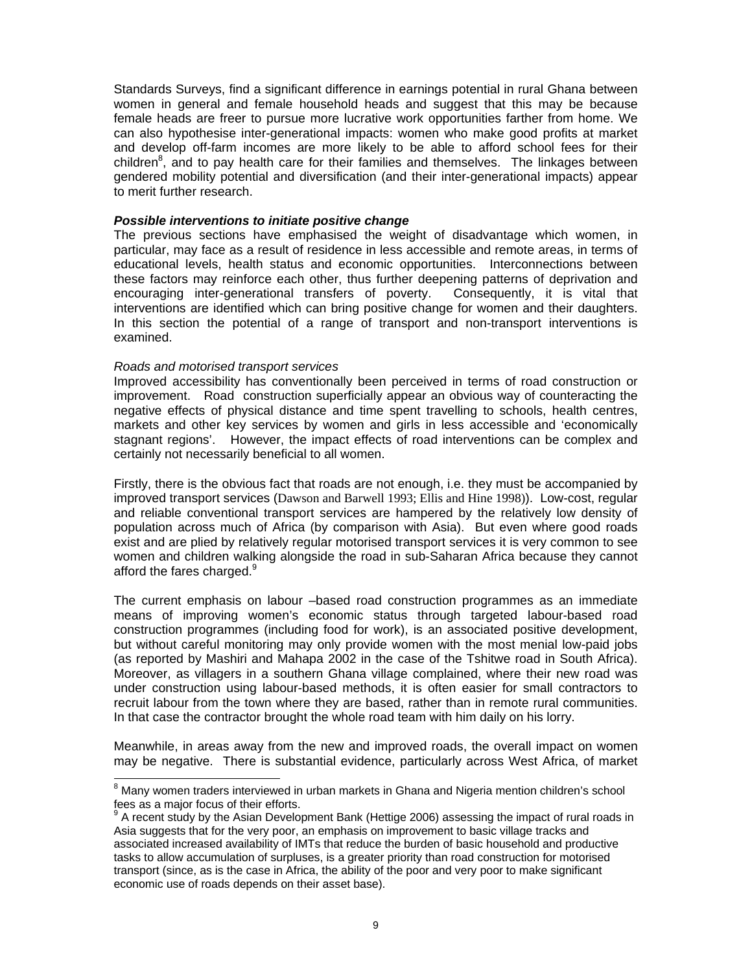Standards Surveys, find a significant difference in earnings potential in rural Ghana between women in general and female household heads and suggest that this may be because female heads are freer to pursue more lucrative work opportunities farther from home. We can also hypothesise inter-generational impacts: women who make good profits at market and develop off-farm incomes are more likely to be able to afford school fees for their children<sup>8</sup>, and to pay health care for their families and themselves. The linkages between gendered mobility potential and diversification (and their inter-generational impacts) appear to merit further research.

#### *Possible interventions to initiate positive change*

The previous sections have emphasised the weight of disadvantage which women, in particular, may face as a result of residence in less accessible and remote areas, in terms of educational levels, health status and economic opportunities. Interconnections between these factors may reinforce each other, thus further deepening patterns of deprivation and encouraging inter-generational transfers of poverty. Consequently, it is vital that interventions are identified which can bring positive change for women and their daughters. In this section the potential of a range of transport and non-transport interventions is examined.

#### *Roads and motorised transport services*

Improved accessibility has conventionally been perceived in terms of road construction or improvement. Road construction superficially appear an obvious way of counteracting the negative effects of physical distance and time spent travelling to schools, health centres, markets and other key services by women and girls in less accessible and 'economically stagnant regions'. However, the impact effects of road interventions can be complex and certainly not necessarily beneficial to all women.

Firstly, there is the obvious fact that roads are not enough, i.e. they must be accompanied by improved transport services (Dawson and Barwell 1993; Ellis and Hine 1998)). Low-cost, regular and reliable conventional transport services are hampered by the relatively low density of population across much of Africa (by comparison with Asia). But even where good roads exist and are plied by relatively regular motorised transport services it is very common to see women and children walking alongside the road in sub-Saharan Africa because they cannot afford the fares charged. $9$ 

The current emphasis on labour –based road construction programmes as an immediate means of improving women's economic status through targeted labour-based road construction programmes (including food for work), is an associated positive development, but without careful monitoring may only provide women with the most menial low-paid jobs (as reported by Mashiri and Mahapa 2002 in the case of the Tshitwe road in South Africa). Moreover, as villagers in a southern Ghana village complained, where their new road was under construction using labour-based methods, it is often easier for small contractors to recruit labour from the town where they are based, rather than in remote rural communities. In that case the contractor brought the whole road team with him daily on his lorry.

Meanwhile, in areas away from the new and improved roads, the overall impact on women may be negative. There is substantial evidence, particularly across West Africa, of market

e<br><sup>8</sup> Many women traders interviewed in urban markets in Ghana and Nigeria mention children's school fees as a major focus of their efforts.

<sup>9</sup> A recent study by the Asian Development Bank (Hettige 2006) assessing the impact of rural roads in Asia suggests that for the very poor, an emphasis on improvement to basic village tracks and associated increased availability of IMTs that reduce the burden of basic household and productive tasks to allow accumulation of surpluses, is a greater priority than road construction for motorised transport (since, as is the case in Africa, the ability of the poor and very poor to make significant economic use of roads depends on their asset base).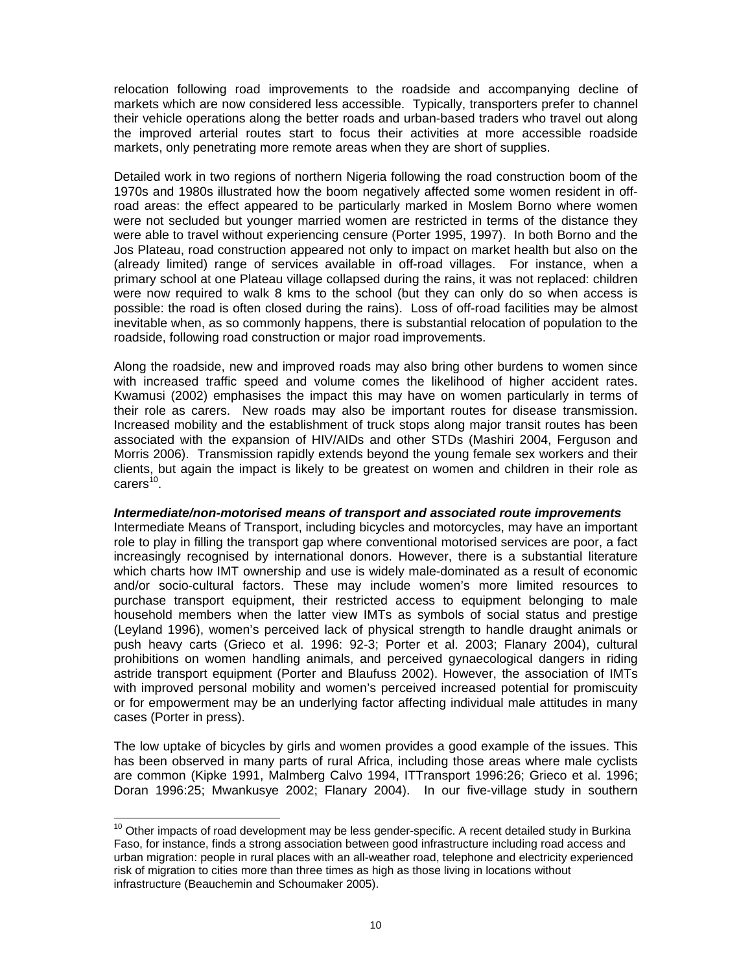relocation following road improvements to the roadside and accompanying decline of markets which are now considered less accessible. Typically, transporters prefer to channel their vehicle operations along the better roads and urban-based traders who travel out along the improved arterial routes start to focus their activities at more accessible roadside markets, only penetrating more remote areas when they are short of supplies.

Detailed work in two regions of northern Nigeria following the road construction boom of the 1970s and 1980s illustrated how the boom negatively affected some women resident in offroad areas: the effect appeared to be particularly marked in Moslem Borno where women were not secluded but younger married women are restricted in terms of the distance they were able to travel without experiencing censure (Porter 1995, 1997). In both Borno and the Jos Plateau, road construction appeared not only to impact on market health but also on the (already limited) range of services available in off-road villages. For instance, when a primary school at one Plateau village collapsed during the rains, it was not replaced: children were now required to walk 8 kms to the school (but they can only do so when access is possible: the road is often closed during the rains). Loss of off-road facilities may be almost inevitable when, as so commonly happens, there is substantial relocation of population to the roadside, following road construction or major road improvements.

Along the roadside, new and improved roads may also bring other burdens to women since with increased traffic speed and volume comes the likelihood of higher accident rates. Kwamusi (2002) emphasises the impact this may have on women particularly in terms of their role as carers. New roads may also be important routes for disease transmission. Increased mobility and the establishment of truck stops along major transit routes has been associated with the expansion of HIV/AIDs and other STDs (Mashiri 2004, Ferguson and Morris 2006). Transmission rapidly extends beyond the young female sex workers and their clients, but again the impact is likely to be greatest on women and children in their role as  $carers<sup>10</sup>$ .

# *Intermediate/non-motorised means of transport and associated route improvements*

Intermediate Means of Transport, including bicycles and motorcycles, may have an important role to play in filling the transport gap where conventional motorised services are poor, a fact increasingly recognised by international donors. However, there is a substantial literature which charts how IMT ownership and use is widely male-dominated as a result of economic and/or socio-cultural factors. These may include women's more limited resources to purchase transport equipment, their restricted access to equipment belonging to male household members when the latter view IMTs as symbols of social status and prestige (Leyland 1996), women's perceived lack of physical strength to handle draught animals or push heavy carts (Grieco et al. 1996: 92-3; Porter et al. 2003; Flanary 2004), cultural prohibitions on women handling animals, and perceived gynaecological dangers in riding astride transport equipment (Porter and Blaufuss 2002). However, the association of IMTs with improved personal mobility and women's perceived increased potential for promiscuity or for empowerment may be an underlying factor affecting individual male attitudes in many cases (Porter in press).

The low uptake of bicycles by girls and women provides a good example of the issues. This has been observed in many parts of rural Africa, including those areas where male cyclists are common (Kipke 1991, Malmberg Calvo 1994, ITTransport 1996:26; Grieco et al. 1996; Doran 1996:25; Mwankusye 2002; Flanary 2004). In our five-village study in southern

 $\overline{a}$ 

 $10$  Other impacts of road development may be less gender-specific. A recent detailed study in Burkina Faso, for instance, finds a strong association between good infrastructure including road access and urban migration: people in rural places with an all-weather road, telephone and electricity experienced risk of migration to cities more than three times as high as those living in locations without infrastructure (Beauchemin and Schoumaker 2005).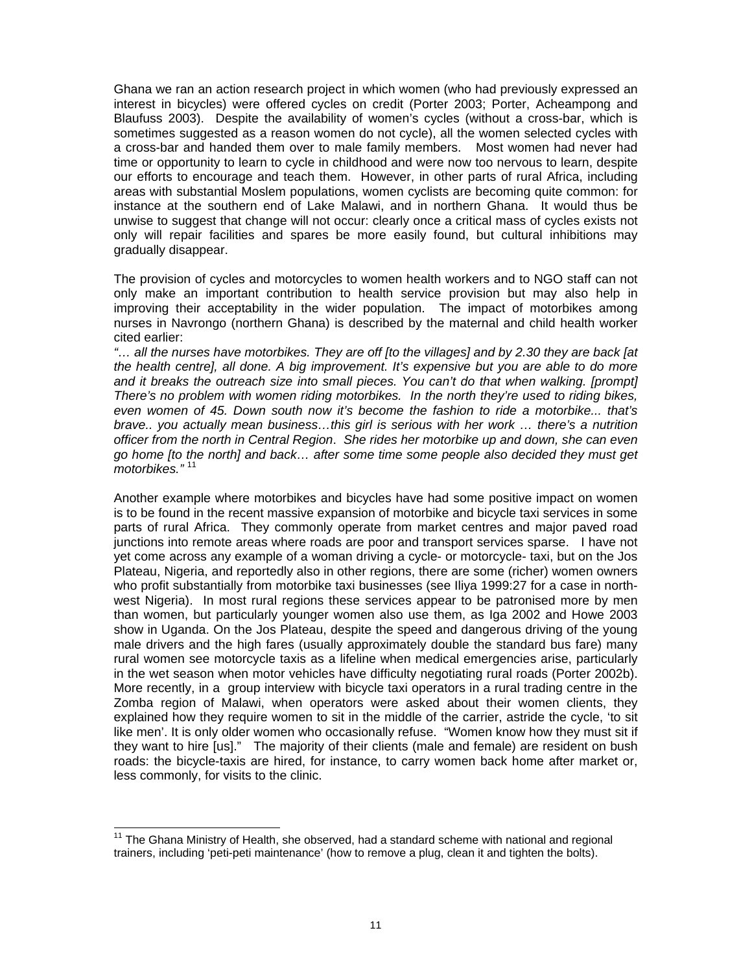Ghana we ran an action research project in which women (who had previously expressed an interest in bicycles) were offered cycles on credit (Porter 2003; Porter, Acheampong and Blaufuss 2003). Despite the availability of women's cycles (without a cross-bar, which is sometimes suggested as a reason women do not cycle), all the women selected cycles with a cross-bar and handed them over to male family members. Most women had never had time or opportunity to learn to cycle in childhood and were now too nervous to learn, despite our efforts to encourage and teach them. However, in other parts of rural Africa, including areas with substantial Moslem populations, women cyclists are becoming quite common: for instance at the southern end of Lake Malawi, and in northern Ghana. It would thus be unwise to suggest that change will not occur: clearly once a critical mass of cycles exists not only will repair facilities and spares be more easily found, but cultural inhibitions may gradually disappear.

The provision of cycles and motorcycles to women health workers and to NGO staff can not only make an important contribution to health service provision but may also help in improving their acceptability in the wider population. The impact of motorbikes among nurses in Navrongo (northern Ghana) is described by the maternal and child health worker cited earlier:

*"… all the nurses have motorbikes. They are off [to the villages] and by 2.30 they are back [at the health centre], all done. A big improvement. It's expensive but you are able to do more*  and it breaks the outreach size into small pieces. You can't do that when walking. [prompt] *There's no problem with women riding motorbikes. In the north they're used to riding bikes, even women of 45. Down south now it's become the fashion to ride a motorbike... that's brave.. you actually mean business…this girl is serious with her work … there's a nutrition officer from the north in Central Region*. *She rides her motorbike up and down, she can even go home [to the north] and back… after some time some people also decided they must get motorbikes."* <sup>11</sup>

Another example where motorbikes and bicycles have had some positive impact on women is to be found in the recent massive expansion of motorbike and bicycle taxi services in some parts of rural Africa. They commonly operate from market centres and major paved road junctions into remote areas where roads are poor and transport services sparse. I have not yet come across any example of a woman driving a cycle- or motorcycle- taxi, but on the Jos Plateau, Nigeria, and reportedly also in other regions, there are some (richer) women owners who profit substantially from motorbike taxi businesses (see Iliya 1999:27 for a case in northwest Nigeria). In most rural regions these services appear to be patronised more by men than women, but particularly younger women also use them, as Iga 2002 and Howe 2003 show in Uganda. On the Jos Plateau, despite the speed and dangerous driving of the young male drivers and the high fares (usually approximately double the standard bus fare) many rural women see motorcycle taxis as a lifeline when medical emergencies arise, particularly in the wet season when motor vehicles have difficulty negotiating rural roads (Porter 2002b). More recently, in a group interview with bicycle taxi operators in a rural trading centre in the Zomba region of Malawi, when operators were asked about their women clients, they explained how they require women to sit in the middle of the carrier, astride the cycle, 'to sit like men'. It is only older women who occasionally refuse. "Women know how they must sit if they want to hire [us]." The majority of their clients (male and female) are resident on bush roads: the bicycle-taxis are hired, for instance, to carry women back home after market or, less commonly, for visits to the clinic.

l

 $11$  The Ghana Ministry of Health, she observed, had a standard scheme with national and regional trainers, including 'peti-peti maintenance' (how to remove a plug, clean it and tighten the bolts).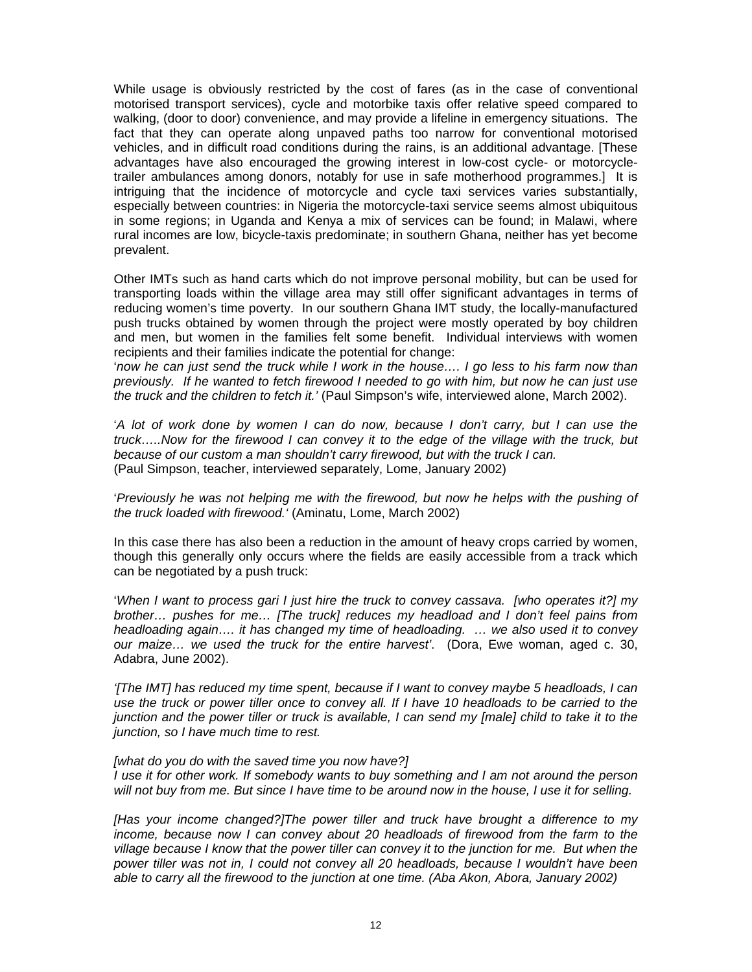While usage is obviously restricted by the cost of fares (as in the case of conventional motorised transport services), cycle and motorbike taxis offer relative speed compared to walking, (door to door) convenience, and may provide a lifeline in emergency situations. The fact that they can operate along unpaved paths too narrow for conventional motorised vehicles, and in difficult road conditions during the rains, is an additional advantage. [These advantages have also encouraged the growing interest in low-cost cycle- or motorcycletrailer ambulances among donors, notably for use in safe motherhood programmes.] It is intriguing that the incidence of motorcycle and cycle taxi services varies substantially, especially between countries: in Nigeria the motorcycle-taxi service seems almost ubiquitous in some regions; in Uganda and Kenya a mix of services can be found; in Malawi, where rural incomes are low, bicycle-taxis predominate; in southern Ghana, neither has yet become prevalent.

Other IMTs such as hand carts which do not improve personal mobility, but can be used for transporting loads within the village area may still offer significant advantages in terms of reducing women's time poverty. In our southern Ghana IMT study, the locally-manufactured push trucks obtained by women through the project were mostly operated by boy children and men, but women in the families felt some benefit. Individual interviews with women recipients and their families indicate the potential for change:

'*now he can just send the truck while I work in the house…. I go less to his farm now than previously. If he wanted to fetch firewood I needed to go with him, but now he can just use the truck and the children to fetch it.'* (Paul Simpson's wife, interviewed alone, March 2002).

'*A lot of work done by women I can do now, because I don't carry, but I can use the truck…..Now for the firewood I can convey it to the edge of the village with the truck, but because of our custom a man shouldn't carry firewood, but with the truck I can.*  (Paul Simpson, teacher, interviewed separately, Lome, January 2002)

'*Previously he was not helping me with the firewood, but now he helps with the pushing of the truck loaded with firewood.'* (Aminatu, Lome, March 2002)

In this case there has also been a reduction in the amount of heavy crops carried by women, though this generally only occurs where the fields are easily accessible from a track which can be negotiated by a push truck:

'*When I want to process gari I just hire the truck to convey cassava. [who operates it?] my brother… pushes for me… [The truck] reduces my headload and I don't feel pains from headloading again…. it has changed my time of headloading. … we also used it to convey our maize… we used the truck for the entire harvest'*. (Dora, Ewe woman, aged c. 30, Adabra, June 2002).

*'[The IMT] has reduced my time spent, because if I want to convey maybe 5 headloads, I can use the truck or power tiller once to convey all. If I have 10 headloads to be carried to the junction and the power tiller or truck is available, I can send my [male] child to take it to the junction, so I have much time to rest.* 

# *[what do you do with the saved time you now have?]*

*I use it for other work. If somebody wants to buy something and I am not around the person will not buy from me. But since I have time to be around now in the house, I use it for selling.* 

*[Has your income changed?]The power tiller and truck have brought a difference to my income, because now I can convey about 20 headloads of firewood from the farm to the village because I know that the power tiller can convey it to the junction for me. But when the power tiller was not in, I could not convey all 20 headloads, because I wouldn't have been able to carry all the firewood to the junction at one time. (Aba Akon, Abora, January 2002)*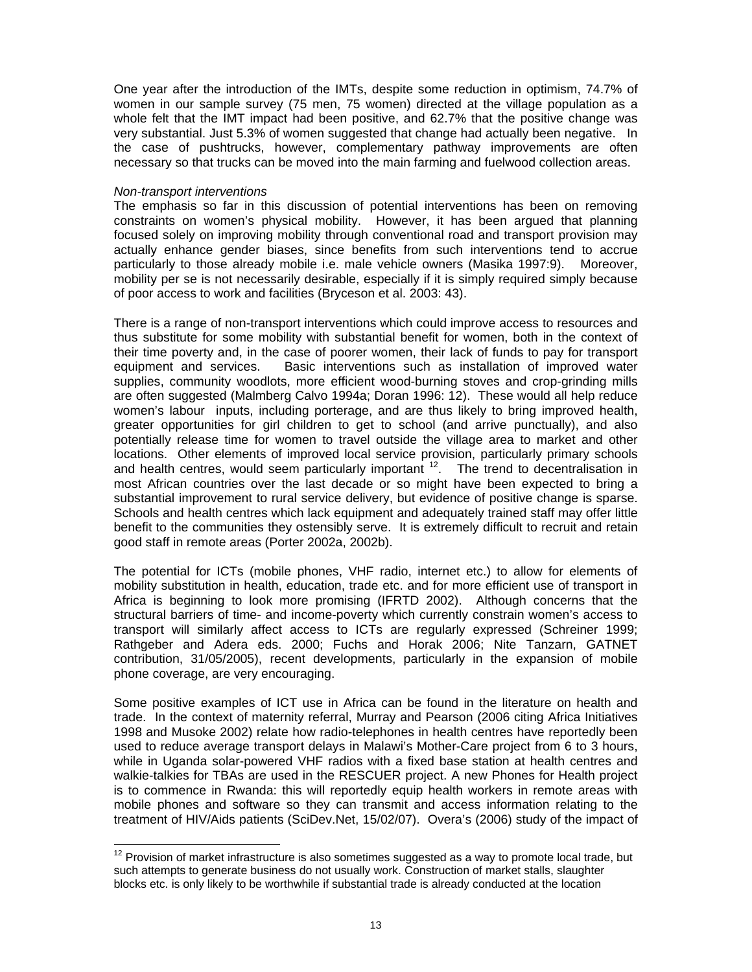One year after the introduction of the IMTs, despite some reduction in optimism, 74.7% of women in our sample survey (75 men, 75 women) directed at the village population as a whole felt that the IMT impact had been positive, and 62.7% that the positive change was very substantial. Just 5.3% of women suggested that change had actually been negative. In the case of pushtrucks, however, complementary pathway improvements are often necessary so that trucks can be moved into the main farming and fuelwood collection areas.

# *Non-transport interventions*

 $\overline{a}$ 

The emphasis so far in this discussion of potential interventions has been on removing constraints on women's physical mobility. However, it has been argued that planning focused solely on improving mobility through conventional road and transport provision may actually enhance gender biases, since benefits from such interventions tend to accrue particularly to those already mobile i.e. male vehicle owners (Masika 1997:9). Moreover, mobility per se is not necessarily desirable, especially if it is simply required simply because of poor access to work and facilities (Bryceson et al. 2003: 43).

There is a range of non-transport interventions which could improve access to resources and thus substitute for some mobility with substantial benefit for women, both in the context of their time poverty and, in the case of poorer women, their lack of funds to pay for transport equipment and services. Basic interventions such as installation of improved water supplies, community woodlots, more efficient wood-burning stoves and crop-grinding mills are often suggested (Malmberg Calvo 1994a; Doran 1996: 12). These would all help reduce women's labour inputs, including porterage, and are thus likely to bring improved health, greater opportunities for girl children to get to school (and arrive punctually), and also potentially release time for women to travel outside the village area to market and other locations. Other elements of improved local service provision, particularly primary schools and health centres, would seem particularly important  $12$ . The trend to decentralisation in most African countries over the last decade or so might have been expected to bring a substantial improvement to rural service delivery, but evidence of positive change is sparse. Schools and health centres which lack equipment and adequately trained staff may offer little benefit to the communities they ostensibly serve. It is extremely difficult to recruit and retain good staff in remote areas (Porter 2002a, 2002b).

The potential for ICTs (mobile phones, VHF radio, internet etc.) to allow for elements of mobility substitution in health, education, trade etc. and for more efficient use of transport in Africa is beginning to look more promising (IFRTD 2002). Although concerns that the structural barriers of time- and income-poverty which currently constrain women's access to transport will similarly affect access to ICTs are regularly expressed (Schreiner 1999; Rathgeber and Adera eds. 2000; Fuchs and Horak 2006; Nite Tanzarn, GATNET contribution, 31/05/2005), recent developments, particularly in the expansion of mobile phone coverage, are very encouraging.

Some positive examples of ICT use in Africa can be found in the literature on health and trade. In the context of maternity referral, Murray and Pearson (2006 citing Africa Initiatives 1998 and Musoke 2002) relate how radio-telephones in health centres have reportedly been used to reduce average transport delays in Malawi's Mother-Care project from 6 to 3 hours, while in Uganda solar-powered VHF radios with a fixed base station at health centres and walkie-talkies for TBAs are used in the RESCUER project. A new Phones for Health project is to commence in Rwanda: this will reportedly equip health workers in remote areas with mobile phones and software so they can transmit and access information relating to the treatment of HIV/Aids patients (SciDev.Net, 15/02/07). Overa's (2006) study of the impact of

 $12$  Provision of market infrastructure is also sometimes suggested as a way to promote local trade, but such attempts to generate business do not usually work. Construction of market stalls, slaughter blocks etc. is only likely to be worthwhile if substantial trade is already conducted at the location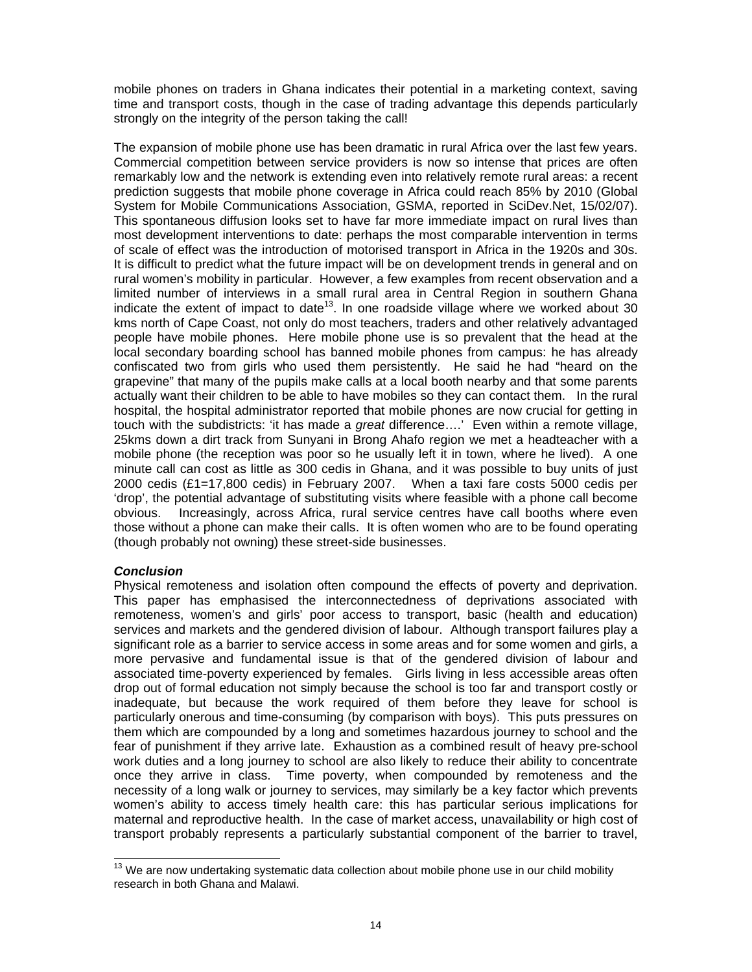mobile phones on traders in Ghana indicates their potential in a marketing context, saving time and transport costs, though in the case of trading advantage this depends particularly strongly on the integrity of the person taking the call!

The expansion of mobile phone use has been dramatic in rural Africa over the last few years. Commercial competition between service providers is now so intense that prices are often remarkably low and the network is extending even into relatively remote rural areas: a recent prediction suggests that mobile phone coverage in Africa could reach 85% by 2010 (Global System for Mobile Communications Association, GSMA, reported in SciDev.Net, 15/02/07). This spontaneous diffusion looks set to have far more immediate impact on rural lives than most development interventions to date: perhaps the most comparable intervention in terms of scale of effect was the introduction of motorised transport in Africa in the 1920s and 30s. It is difficult to predict what the future impact will be on development trends in general and on rural women's mobility in particular. However, a few examples from recent observation and a limited number of interviews in a small rural area in Central Region in southern Ghana indicate the extent of impact to date<sup>13</sup>. In one roadside village where we worked about 30 kms north of Cape Coast, not only do most teachers, traders and other relatively advantaged people have mobile phones. Here mobile phone use is so prevalent that the head at the local secondary boarding school has banned mobile phones from campus: he has already confiscated two from girls who used them persistently. He said he had "heard on the grapevine" that many of the pupils make calls at a local booth nearby and that some parents actually want their children to be able to have mobiles so they can contact them. In the rural hospital, the hospital administrator reported that mobile phones are now crucial for getting in touch with the subdistricts: 'it has made a *great* difference….' Even within a remote village, 25kms down a dirt track from Sunyani in Brong Ahafo region we met a headteacher with a mobile phone (the reception was poor so he usually left it in town, where he lived). A one minute call can cost as little as 300 cedis in Ghana, and it was possible to buy units of just 2000 cedis (£1=17,800 cedis) in February 2007. When a taxi fare costs 5000 cedis per 'drop', the potential advantage of substituting visits where feasible with a phone call become obvious. Increasingly, across Africa, rural service centres have call booths where even those without a phone can make their calls. It is often women who are to be found operating (though probably not owning) these street-side businesses.

# *Conclusion*

Physical remoteness and isolation often compound the effects of poverty and deprivation. This paper has emphasised the interconnectedness of deprivations associated with remoteness, women's and girls' poor access to transport, basic (health and education) services and markets and the gendered division of labour. Although transport failures play a significant role as a barrier to service access in some areas and for some women and girls, a more pervasive and fundamental issue is that of the gendered division of labour and associated time-poverty experienced by females. Girls living in less accessible areas often drop out of formal education not simply because the school is too far and transport costly or inadequate, but because the work required of them before they leave for school is particularly onerous and time-consuming (by comparison with boys). This puts pressures on them which are compounded by a long and sometimes hazardous journey to school and the fear of punishment if they arrive late. Exhaustion as a combined result of heavy pre-school work duties and a long journey to school are also likely to reduce their ability to concentrate once they arrive in class. Time poverty, when compounded by remoteness and the necessity of a long walk or journey to services, may similarly be a key factor which prevents women's ability to access timely health care: this has particular serious implications for maternal and reproductive health. In the case of market access, unavailability or high cost of transport probably represents a particularly substantial component of the barrier to travel,

 $\overline{a}$  $13$  We are now undertaking systematic data collection about mobile phone use in our child mobility research in both Ghana and Malawi.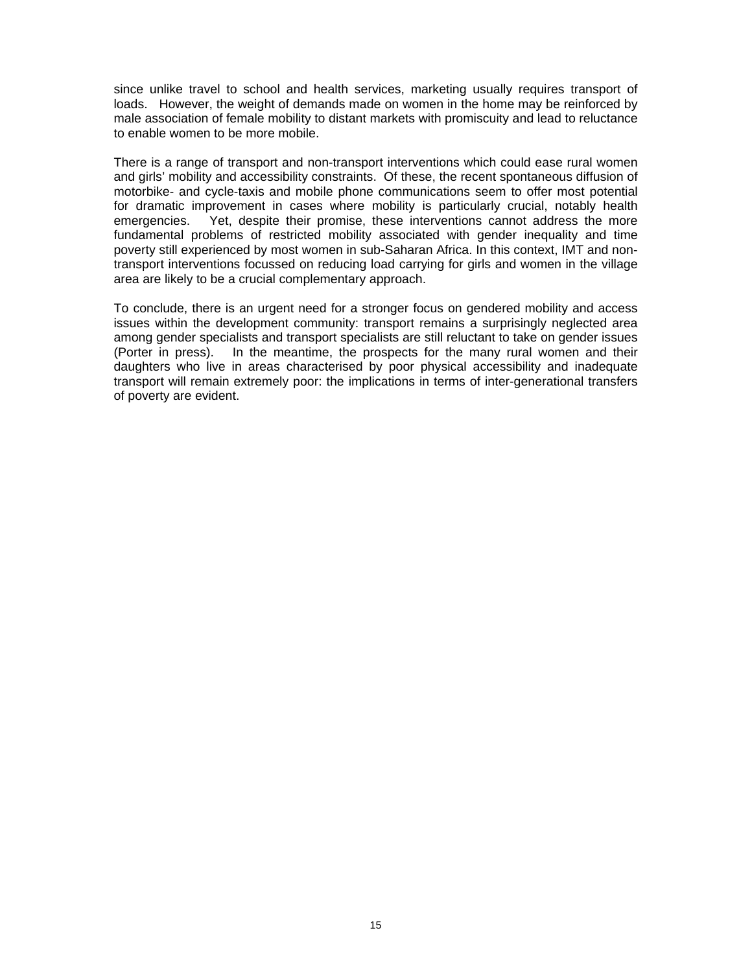since unlike travel to school and health services, marketing usually requires transport of loads. However, the weight of demands made on women in the home may be reinforced by male association of female mobility to distant markets with promiscuity and lead to reluctance to enable women to be more mobile.

There is a range of transport and non-transport interventions which could ease rural women and girls' mobility and accessibility constraints. Of these, the recent spontaneous diffusion of motorbike- and cycle-taxis and mobile phone communications seem to offer most potential for dramatic improvement in cases where mobility is particularly crucial, notably health emergencies. Yet, despite their promise, these interventions cannot address the more fundamental problems of restricted mobility associated with gender inequality and time poverty still experienced by most women in sub-Saharan Africa. In this context, IMT and nontransport interventions focussed on reducing load carrying for girls and women in the village area are likely to be a crucial complementary approach.

To conclude, there is an urgent need for a stronger focus on gendered mobility and access issues within the development community: transport remains a surprisingly neglected area among gender specialists and transport specialists are still reluctant to take on gender issues (Porter in press). In the meantime, the prospects for the many rural women and their daughters who live in areas characterised by poor physical accessibility and inadequate transport will remain extremely poor: the implications in terms of inter-generational transfers of poverty are evident.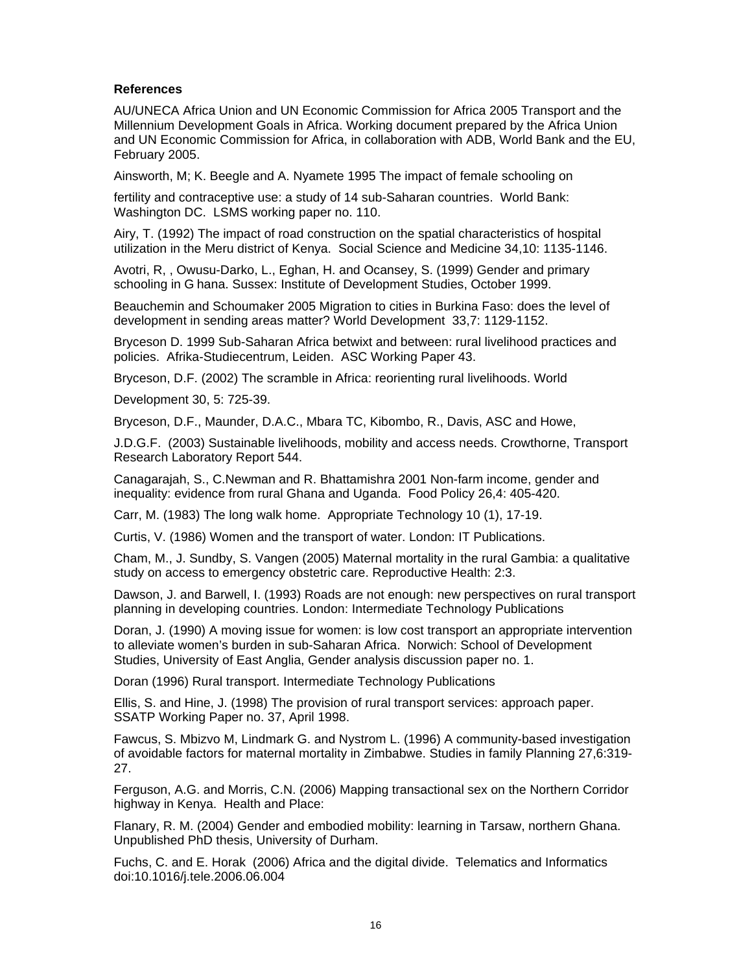# **References**

AU/UNECA Africa Union and UN Economic Commission for Africa 2005 Transport and the Millennium Development Goals in Africa. Working document prepared by the Africa Union and UN Economic Commission for Africa, in collaboration with ADB, World Bank and the EU, February 2005.

Ainsworth, M; K. Beegle and A. Nyamete 1995 The impact of female schooling on

fertility and contraceptive use: a study of 14 sub-Saharan countries. World Bank: Washington DC. LSMS working paper no. 110.

Airy, T. (1992) The impact of road construction on the spatial characteristics of hospital utilization in the Meru district of Kenya. Social Science and Medicine 34,10: 1135-1146.

Avotri, R, , Owusu-Darko, L., Eghan, H. and Ocansey, S. (1999) Gender and primary schooling in G hana. Sussex: Institute of Development Studies, October 1999.

Beauchemin and Schoumaker 2005 Migration to cities in Burkina Faso: does the level of development in sending areas matter? World Development 33,7: 1129-1152.

Bryceson D. 1999 Sub-Saharan Africa betwixt and between: rural livelihood practices and policies. Afrika-Studiecentrum, Leiden. ASC Working Paper 43.

Bryceson, D.F. (2002) The scramble in Africa: reorienting rural livelihoods. World

Development 30, 5: 725-39.

Bryceson, D.F., Maunder, D.A.C., Mbara TC, Kibombo, R., Davis, ASC and Howe,

J.D.G.F. (2003) Sustainable livelihoods, mobility and access needs. Crowthorne, Transport Research Laboratory Report 544.

Canagarajah, S., C.Newman and R. Bhattamishra 2001 Non-farm income, gender and inequality: evidence from rural Ghana and Uganda. Food Policy 26,4: 405-420.

Carr, M. (1983) The long walk home. Appropriate Technology 10 (1), 17-19.

Curtis, V. (1986) Women and the transport of water. London: IT Publications.

Cham, M., J. Sundby, S. Vangen (2005) Maternal mortality in the rural Gambia: a qualitative study on access to emergency obstetric care. Reproductive Health: 2:3.

Dawson, J. and Barwell, I. (1993) Roads are not enough: new perspectives on rural transport planning in developing countries. London: Intermediate Technology Publications

Doran, J. (1990) A moving issue for women: is low cost transport an appropriate intervention to alleviate women's burden in sub-Saharan Africa. Norwich: School of Development Studies, University of East Anglia, Gender analysis discussion paper no. 1.

Doran (1996) Rural transport. Intermediate Technology Publications

Ellis, S. and Hine, J. (1998) The provision of rural transport services: approach paper. SSATP Working Paper no. 37, April 1998.

Fawcus, S. Mbizvo M, Lindmark G. and Nystrom L. (1996) A community-based investigation of avoidable factors for maternal mortality in Zimbabwe. Studies in family Planning 27,6:319- 27.

Ferguson, A.G. and Morris, C.N. (2006) Mapping transactional sex on the Northern Corridor highway in Kenya. Health and Place:

Flanary, R. M. (2004) Gender and embodied mobility: learning in Tarsaw, northern Ghana. Unpublished PhD thesis, University of Durham.

Fuchs, C. and E. Horak (2006) Africa and the digital divide. Telematics and Informatics doi:10.1016/j.tele.2006.06.004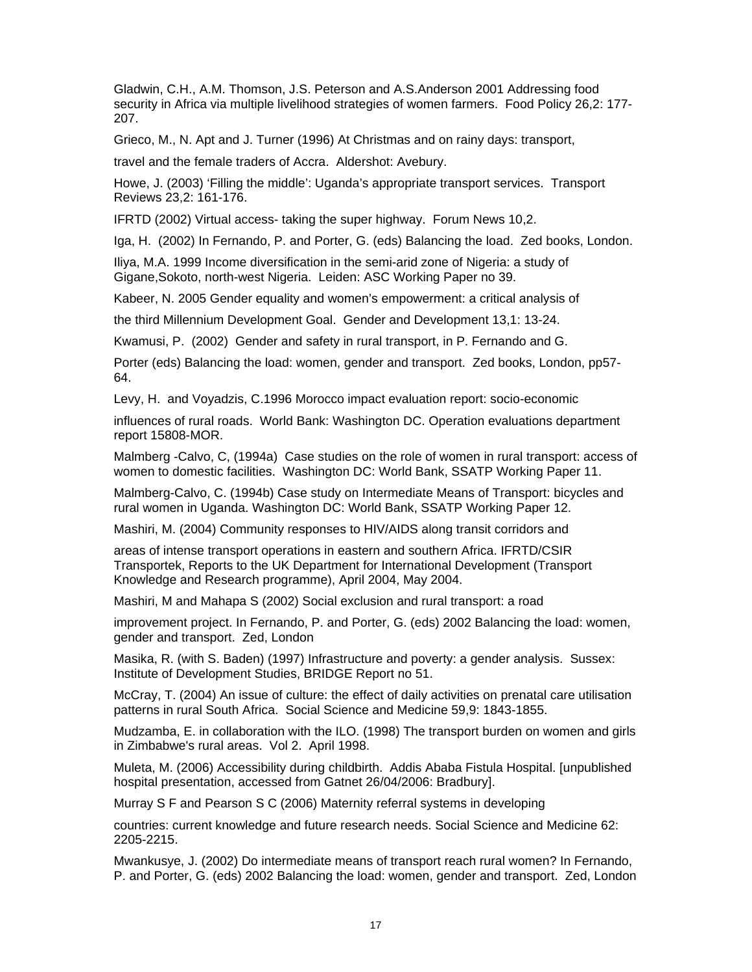Gladwin, C.H., A.M. Thomson, J.S. Peterson and A.S.Anderson 2001 Addressing food security in Africa via multiple livelihood strategies of women farmers. Food Policy 26,2: 177- 207.

Grieco, M., N. Apt and J. Turner (1996) At Christmas and on rainy days: transport,

travel and the female traders of Accra. Aldershot: Avebury.

Howe, J. (2003) 'Filling the middle': Uganda's appropriate transport services. Transport Reviews 23,2: 161-176.

IFRTD (2002) Virtual access- taking the super highway. Forum News 10,2.

Iga, H. (2002) In Fernando, P. and Porter, G. (eds) Balancing the load. Zed books, London.

Iliya, M.A. 1999 Income diversification in the semi-arid zone of Nigeria: a study of Gigane,Sokoto, north-west Nigeria. Leiden: ASC Working Paper no 39.

Kabeer, N. 2005 Gender equality and women's empowerment: a critical analysis of

the third Millennium Development Goal. Gender and Development 13,1: 13-24.

Kwamusi, P. (2002) Gender and safety in rural transport, in P. Fernando and G.

Porter (eds) Balancing the load: women, gender and transport. Zed books, London, pp57- 64.

Levy, H. and Voyadzis, C.1996 Morocco impact evaluation report: socio-economic

influences of rural roads. World Bank: Washington DC. Operation evaluations department report 15808-MOR.

Malmberg -Calvo, C, (1994a) Case studies on the role of women in rural transport: access of women to domestic facilities. Washington DC: World Bank, SSATP Working Paper 11.

Malmberg-Calvo, C. (1994b) Case study on Intermediate Means of Transport: bicycles and rural women in Uganda. Washington DC: World Bank, SSATP Working Paper 12.

Mashiri, M. (2004) Community responses to HIV/AIDS along transit corridors and

areas of intense transport operations in eastern and southern Africa. IFRTD/CSIR Transportek, Reports to the UK Department for International Development (Transport Knowledge and Research programme), April 2004, May 2004.

Mashiri, M and Mahapa S (2002) Social exclusion and rural transport: a road

improvement project. In Fernando, P. and Porter, G. (eds) 2002 Balancing the load: women, gender and transport. Zed, London

Masika, R. (with S. Baden) (1997) Infrastructure and poverty: a gender analysis. Sussex: Institute of Development Studies, BRIDGE Report no 51.

McCray, T. (2004) An issue of culture: the effect of daily activities on prenatal care utilisation patterns in rural South Africa. Social Science and Medicine 59,9: 1843-1855.

Mudzamba, E. in collaboration with the ILO. (1998) The transport burden on women and girls in Zimbabwe's rural areas. Vol 2. April 1998.

Muleta, M. (2006) Accessibility during childbirth. Addis Ababa Fistula Hospital. [unpublished hospital presentation, accessed from Gatnet 26/04/2006: Bradbury].

Murray S F and Pearson S C (2006) Maternity referral systems in developing

countries: current knowledge and future research needs. Social Science and Medicine 62: 2205-2215.

Mwankusye, J. (2002) Do intermediate means of transport reach rural women? In Fernando, P. and Porter, G. (eds) 2002 Balancing the load: women, gender and transport. Zed, London